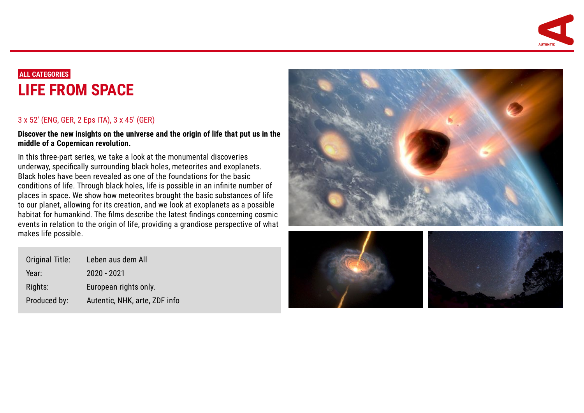

# **ALL CATEGORIES LIFE FROM [SPACE](https://www.autentic.com/index.php/page/108/pid/1101)**

## 3 x 52' (ENG, GER, 2 Eps ITA), 3 x 45' (GER)

**Discover the new insights on the universe and the origin of life that put us in the middle of a Copernican revolution.**

In this three-part series, we take a look at the monumental discoveries underway, specifically surrounding black holes, meteorites and exoplanets. Black holes have been revealed as one of the foundations for the basic conditions of life. Through black holes, life is possible in an infinite number of places in space. We show how meteorites brought the basic substances of life to our planet, allowing for its creation, and we look at exoplanets as a possible habitat for humankind. The films describe the latest findings concerning cosmic events in relation to the origin of life, providing a grandiose perspective of what makes life possible.

| Original Title: | Leben aus dem All             |
|-----------------|-------------------------------|
| Year:           | 2020 - 2021                   |
| Rights:         | European rights only.         |
| Produced by:    | Autentic, NHK, arte, ZDF info |